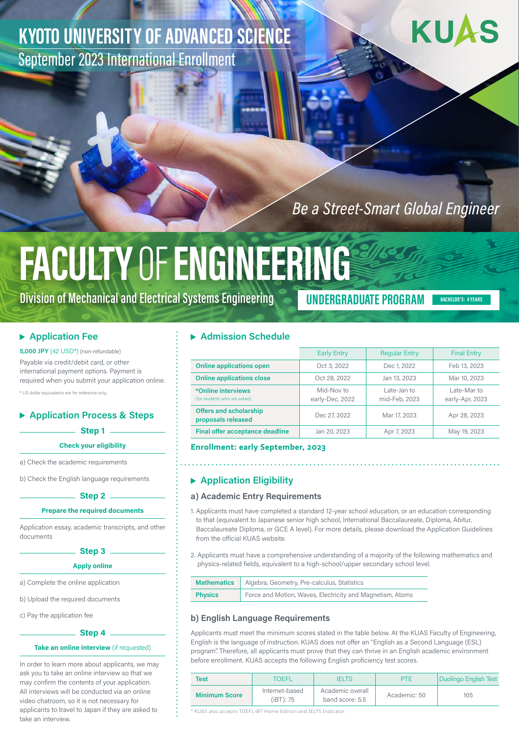# **KYOTO UNIVERSITY OF ADVANCED SCIENCE** September 2023 International Enrollment

# Be a Street-Smart Global Engineer

# **FACULTY OF ENGINEERING**

Division of Mechanical and Electrical Systems Engineerin

# **UNDERGRADUATE PROGRAM**

**BACHELOR'S: 4 YEARS** 

KUAS

# $\blacktriangleright$  Application Fee

 $5,000$  JPY (42 USD<sup>\*</sup>) (non-refundable) Payable via credit/debit card, or other international payment options. Payment is required when you submit your application online.

\* US dollar equivalents are for reference only

# Application Process & Steps

#### Step 1

#### Check your eligibility

a) Check the academic requirements

b) Check the English language requirements

#### Step 2

#### Prepare the required documents

Application essay, academic transcripts, and other documents

## Step 3 -**Apply online**

a) Complete the online application

- b) Upload the required documents
- c) Pay the application fee

#### Step 4

#### Take an online interview (if requested)

In order to learn more about applicants, we may ask you to take an online interview so that we may confirm the contents of your application. All interviews will be conducted via an online video chatroom, so it is not necessary for applicants to travel to Japan if they are asked to take an interview

## $\blacktriangleright$  Admission Schedule

|                                                     | <b>Regular Entry</b><br>Early Entry |                              | <b>Final Entry</b>             |  |
|-----------------------------------------------------|-------------------------------------|------------------------------|--------------------------------|--|
| <b>Online applications open</b>                     | Oct 3, 2022                         | Dec 1, 2022                  | Feb 13, 2023                   |  |
| <b>Online applications close</b>                    | Oct 28, 2022                        | Jan 13, 2023                 | Mar 10, 2023                   |  |
| *Online interviews<br>(for students who are asked)  | Mid-Nov to<br>early-Dec, 2022       | Late-Jan to<br>mid-Feb, 2023 | Late-Mar to<br>early-Apr, 2023 |  |
| <b>Offers and scholarship</b><br>proposals released | Dec 27, 2022                        | Mar 17, 2023                 | Apr 28, 2023                   |  |
| <b>Final offer acceptance deadline</b>              | Jan 20, 2023                        | Apr 7, 2023                  | May 19, 2023                   |  |

**Enrollment: early September, 2023** 

## $\blacktriangleright$  Application Eligibility

#### a) Academic Entry Requirements

- 1. Applicants must have completed a standard 12-year school education, or an education corresponding to that (equivalent to Japanese senior high school, International Baccalaureate, Diploma, Abitur, Baccalaureate Diploma, or GCE A level). For more details, please download the Application Guidelines from the official KUAS website.
- 2. Applicants must have a comprehensive understanding of a majority of the following mathematics and physics-related fields, equivalent to a high-school/upper secondary school level.

| <b>Mathematics</b> | Algebra, Geometry, Pre-calculus, Statistics               |  |  |  |
|--------------------|-----------------------------------------------------------|--|--|--|
| <b>Physics</b>     | Force and Motion, Waves, Electricity and Magnetism, Atoms |  |  |  |

#### b) English Language Requirements

Applicants must meet the minimum scores stated in the table below. At the KUAS Faculty of Engineering, English is the language of instruction. KUAS does not offer an "English as a Second Language (ESL) program". Therefore, all applicants must prove that they can thrive in an English academic environment before enrollment. KUAS accepts the following English proficiency test scores.

| Test                 | <b>PTF</b><br><b>TOFFI</b><br>IFI TS |                                     |              | Duolingo English Test |  |
|----------------------|--------------------------------------|-------------------------------------|--------------|-----------------------|--|
| <b>Minimum Score</b> | Internet-based<br>(iBT): 75          | Academic overall<br>band score: 5.5 | Academic: 50 | 105                   |  |

\* KIJAS also accepts TOEEL IBT Home Edition and TELTS Indicator